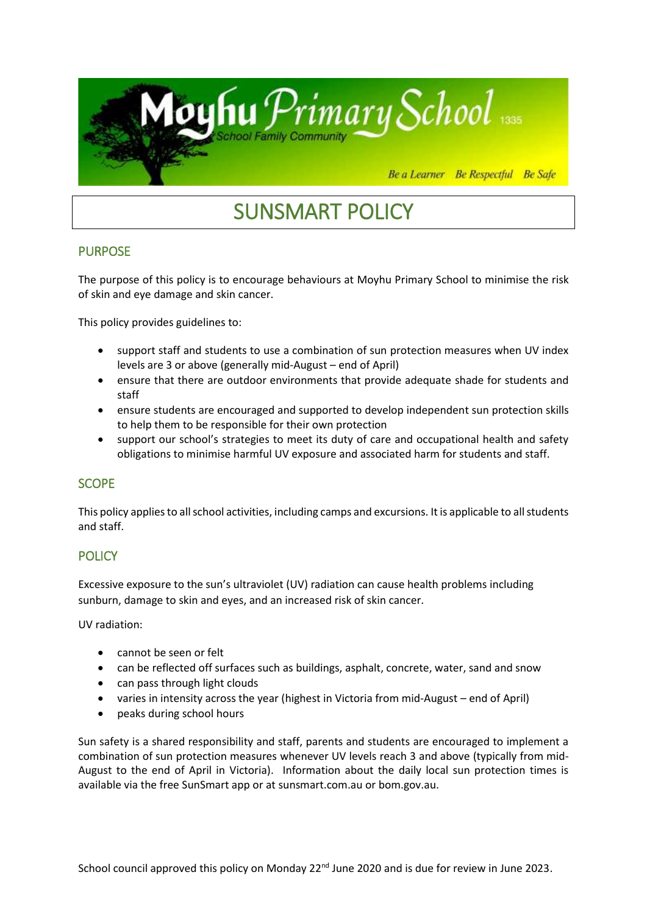

# SUNSMART POLICY

# PURPOSE

The purpose of this policy is to encourage behaviours at Moyhu Primary School to minimise the risk of skin and eye damage and skin cancer.

This policy provides guidelines to:

- support staff and students to use a combination of sun protection measures when UV index levels are 3 or above (generally mid-August – end of April)
- ensure that there are outdoor environments that provide adequate shade for students and staff
- ensure students are encouraged and supported to develop independent sun protection skills to help them to be responsible for their own protection
- support our school's strategies to meet its duty of care and occupational health and safety obligations to minimise harmful UV exposure and associated harm for students and staff.

# **SCOPE**

This policy applies to all school activities, including camps and excursions. It is applicable to all students and staff.

# **POLICY**

Excessive exposure to the sun's ultraviolet (UV) radiation can cause health problems including sunburn, damage to skin and eyes, and an increased risk of skin cancer.

UV radiation:

- cannot be seen or felt
- can be reflected off surfaces such as buildings, asphalt, concrete, water, sand and snow
- can pass through light clouds
- varies in intensity across the year (highest in Victoria from mid-August end of April)
- peaks during school hours

Sun safety is a shared responsibility and staff, parents and students are encouraged to implement a combination of sun protection measures whenever UV levels reach 3 and above (typically from mid-August to the end of April in Victoria). Information about the daily local sun protection times is available via the free [SunSmart app](http://www.sunsmart.com.au/tools/interactive-tools/free-sunsmart-app) or at [sunsmart.com.au](http://www.sunsmart.com.au/) or bom.gov.au.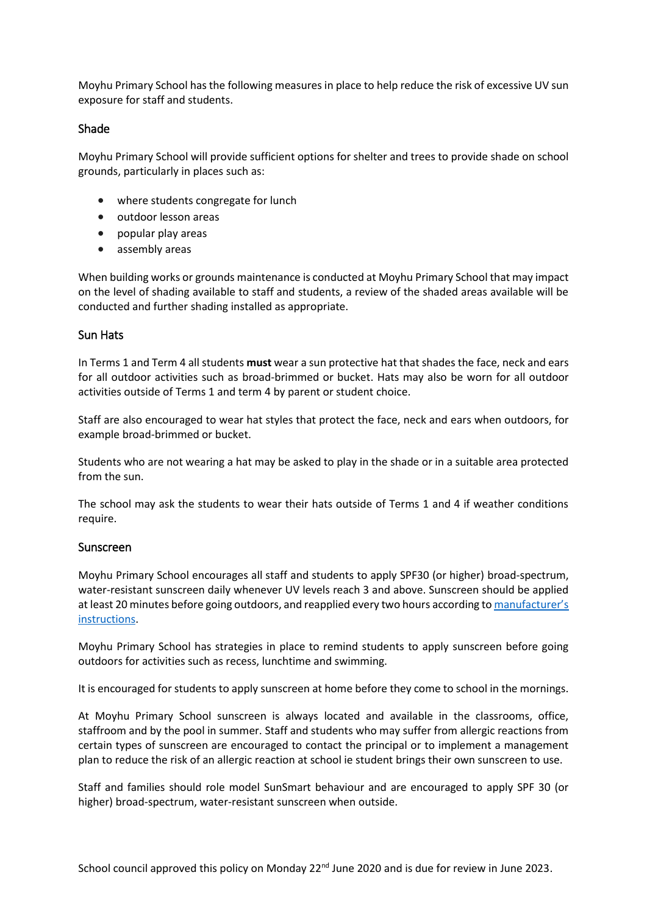Moyhu Primary School hasthe following measures in place to help reduce the risk of excessive UV sun exposure for staff and students.

#### Shade

Moyhu Primary School will provide sufficient options for shelter and trees to provide shade on school grounds, particularly in places such as:

- where students congregate for lunch
- outdoor lesson areas
- popular play areas
- assembly areas

When building works or grounds maintenance is conducted at Moyhu Primary School that may impact on the level of shading available to staff and students, a review of the shaded areas available will be conducted and further shading installed as appropriate.

## Sun Hats

In Terms 1 and Term 4 all students **must** wear a sun protective hat that shades the face, neck and ears for all outdoor activities such as broad-brimmed or bucket. Hats may also be worn for all outdoor activities outside of Terms 1 and term 4 by parent or student choice.

Staff are also encouraged to wear hat styles that protect the face, neck and ears when outdoors, for example broad-brimmed or bucket.

Students who are not wearing a hat may be asked to play in the shade or in a suitable area protected from the sun.

The school may ask the students to wear their hats outside of Terms 1 and 4 if weather conditions require.

#### Sunscreen

Moyhu Primary School encourages all staff and students to apply SPF30 (or higher) broad-spectrum, water-resistant sunscreen daily whenever UV levels reach 3 and above. Sunscreen should be applied at least 20 minutes before going outdoors, and reapplied every two hours according to [manufacturer's](https://www.tga.gov.au/book/4-labelling-and-advertising)  [instructions.](https://www.tga.gov.au/book/4-labelling-and-advertising)

Moyhu Primary School has strategies in place to remind students to apply sunscreen before going outdoors for activities such as recess, lunchtime and swimming.

It is encouraged for students to apply sunscreen at home before they come to school in the mornings.

At Moyhu Primary School sunscreen is always located and available in the classrooms, office, staffroom and by the pool in summer. Staff and students who may suffer from allergic reactions from certain types of sunscreen are encouraged to contact the principal or to implement a management plan to reduce the risk of an allergic reaction at school ie student brings their own sunscreen to use.

Staff and families should role model SunSmart behaviour and are encouraged to apply SPF 30 (or higher) broad-spectrum, water-resistant sunscreen when outside.